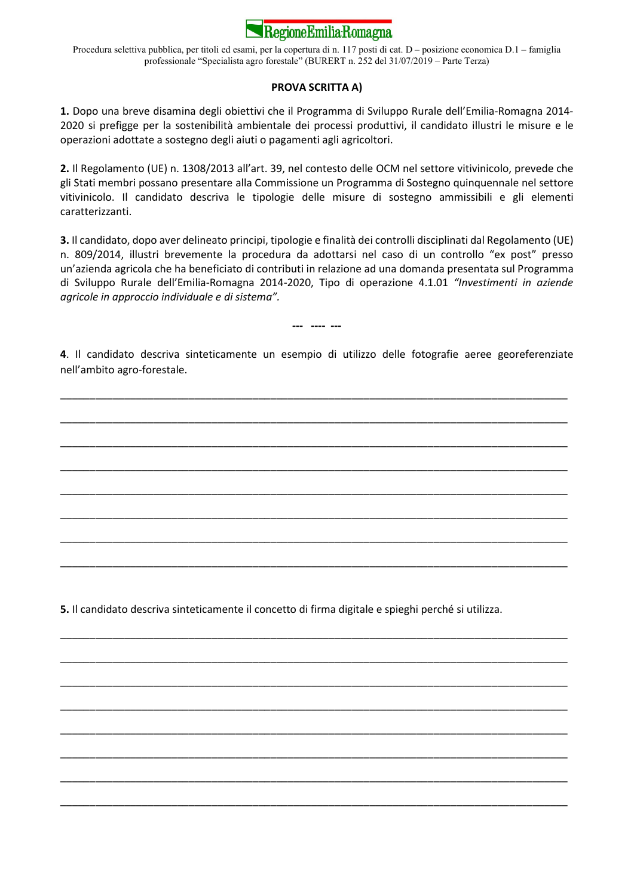

Procedura selettiva pubblica, per titoli ed esami, per la copertura di n. 117 posti di cat. D – posizione economica D.1 – famiglia professionale "Specialista agro forestale" (BURERT n. 252 del 31/07/2019 – Parte Terza)

### PROVA SCRITTA A)

1. Dopo una breve disamina degli obiettivi che il Programma di Sviluppo Rurale dell'Emilia-Romagna 2014- 2020 si prefigge per la sostenibilità ambientale dei processi produttivi, il candidato illustri le misure e le operazioni adottate a sostegno degli aiuti o pagamenti agli agricoltori.

2. Il Regolamento (UE) n. 1308/2013 all'art. 39, nel contesto delle OCM nel settore vitivinicolo, prevede che gli Stati membri possano presentare alla Commissione un Programma di Sostegno quinquennale nel settore vitivinicolo. Il candidato descriva le tipologie delle misure di sostegno ammissibili e gli elementi caratterizzanti.

3. Il candidato, dopo aver delineato principi, tipologie e finalità dei controlli disciplinati dal Regolamento (UE) n. 809/2014, illustri brevemente la procedura da adottarsi nel caso di un controllo "ex post" presso un'azienda agricola che ha beneficiato di contributi in relazione ad una domanda presentata sul Programma di Sviluppo Rurale dell'Emilia-Romagna 2014-2020, Tipo di operazione 4.1.01 "Investimenti in aziende agricole in approccio individuale e di sistema".

--- ---- ---

4. Il candidato descriva sinteticamente un esempio di utilizzo delle fotografie aeree georeferenziate nell'ambito agro-forestale.

\_\_\_\_\_\_\_\_\_\_\_\_\_\_\_\_\_\_\_\_\_\_\_\_\_\_\_\_\_\_\_\_\_\_\_\_\_\_\_\_\_\_\_\_\_\_\_\_\_\_\_\_\_\_\_\_\_\_\_\_\_\_\_\_\_\_\_\_\_\_\_\_\_\_\_\_\_\_\_\_\_\_\_\_\_\_\_

\_\_\_\_\_\_\_\_\_\_\_\_\_\_\_\_\_\_\_\_\_\_\_\_\_\_\_\_\_\_\_\_\_\_\_\_\_\_\_\_\_\_\_\_\_\_\_\_\_\_\_\_\_\_\_\_\_\_\_\_\_\_\_\_\_\_\_\_\_\_\_\_\_\_\_\_\_\_\_\_\_\_\_\_\_\_\_

\_\_\_\_\_\_\_\_\_\_\_\_\_\_\_\_\_\_\_\_\_\_\_\_\_\_\_\_\_\_\_\_\_\_\_\_\_\_\_\_\_\_\_\_\_\_\_\_\_\_\_\_\_\_\_\_\_\_\_\_\_\_\_\_\_\_\_\_\_\_\_\_\_\_\_\_\_\_\_\_\_\_\_\_\_\_\_

\_\_\_\_\_\_\_\_\_\_\_\_\_\_\_\_\_\_\_\_\_\_\_\_\_\_\_\_\_\_\_\_\_\_\_\_\_\_\_\_\_\_\_\_\_\_\_\_\_\_\_\_\_\_\_\_\_\_\_\_\_\_\_\_\_\_\_\_\_\_\_\_\_\_\_\_\_\_\_\_\_\_\_\_\_\_\_

\_\_\_\_\_\_\_\_\_\_\_\_\_\_\_\_\_\_\_\_\_\_\_\_\_\_\_\_\_\_\_\_\_\_\_\_\_\_\_\_\_\_\_\_\_\_\_\_\_\_\_\_\_\_\_\_\_\_\_\_\_\_\_\_\_\_\_\_\_\_\_\_\_\_\_\_\_\_\_\_\_\_\_\_\_\_\_

\_\_\_\_\_\_\_\_\_\_\_\_\_\_\_\_\_\_\_\_\_\_\_\_\_\_\_\_\_\_\_\_\_\_\_\_\_\_\_\_\_\_\_\_\_\_\_\_\_\_\_\_\_\_\_\_\_\_\_\_\_\_\_\_\_\_\_\_\_\_\_\_\_\_\_\_\_\_\_\_\_\_\_\_\_\_\_

\_\_\_\_\_\_\_\_\_\_\_\_\_\_\_\_\_\_\_\_\_\_\_\_\_\_\_\_\_\_\_\_\_\_\_\_\_\_\_\_\_\_\_\_\_\_\_\_\_\_\_\_\_\_\_\_\_\_\_\_\_\_\_\_\_\_\_\_\_\_\_\_\_\_\_\_\_\_\_\_\_\_\_\_\_\_\_

\_\_\_\_\_\_\_\_\_\_\_\_\_\_\_\_\_\_\_\_\_\_\_\_\_\_\_\_\_\_\_\_\_\_\_\_\_\_\_\_\_\_\_\_\_\_\_\_\_\_\_\_\_\_\_\_\_\_\_\_\_\_\_\_\_\_\_\_\_\_\_\_\_\_\_\_\_\_\_\_\_\_\_\_\_\_\_

\_\_\_\_\_\_\_\_\_\_\_\_\_\_\_\_\_\_\_\_\_\_\_\_\_\_\_\_\_\_\_\_\_\_\_\_\_\_\_\_\_\_\_\_\_\_\_\_\_\_\_\_\_\_\_\_\_\_\_\_\_\_\_\_\_\_\_\_\_\_\_\_\_\_\_\_\_\_\_\_\_\_\_\_\_\_\_

\_\_\_\_\_\_\_\_\_\_\_\_\_\_\_\_\_\_\_\_\_\_\_\_\_\_\_\_\_\_\_\_\_\_\_\_\_\_\_\_\_\_\_\_\_\_\_\_\_\_\_\_\_\_\_\_\_\_\_\_\_\_\_\_\_\_\_\_\_\_\_\_\_\_\_\_\_\_\_\_\_\_\_\_\_\_\_

\_\_\_\_\_\_\_\_\_\_\_\_\_\_\_\_\_\_\_\_\_\_\_\_\_\_\_\_\_\_\_\_\_\_\_\_\_\_\_\_\_\_\_\_\_\_\_\_\_\_\_\_\_\_\_\_\_\_\_\_\_\_\_\_\_\_\_\_\_\_\_\_\_\_\_\_\_\_\_\_\_\_\_\_\_\_\_

\_\_\_\_\_\_\_\_\_\_\_\_\_\_\_\_\_\_\_\_\_\_\_\_\_\_\_\_\_\_\_\_\_\_\_\_\_\_\_\_\_\_\_\_\_\_\_\_\_\_\_\_\_\_\_\_\_\_\_\_\_\_\_\_\_\_\_\_\_\_\_\_\_\_\_\_\_\_\_\_\_\_\_\_\_\_\_

\_\_\_\_\_\_\_\_\_\_\_\_\_\_\_\_\_\_\_\_\_\_\_\_\_\_\_\_\_\_\_\_\_\_\_\_\_\_\_\_\_\_\_\_\_\_\_\_\_\_\_\_\_\_\_\_\_\_\_\_\_\_\_\_\_\_\_\_\_\_\_\_\_\_\_\_\_\_\_\_\_\_\_\_\_\_\_

\_\_\_\_\_\_\_\_\_\_\_\_\_\_\_\_\_\_\_\_\_\_\_\_\_\_\_\_\_\_\_\_\_\_\_\_\_\_\_\_\_\_\_\_\_\_\_\_\_\_\_\_\_\_\_\_\_\_\_\_\_\_\_\_\_\_\_\_\_\_\_\_\_\_\_\_\_\_\_\_\_\_\_\_\_\_\_

\_\_\_\_\_\_\_\_\_\_\_\_\_\_\_\_\_\_\_\_\_\_\_\_\_\_\_\_\_\_\_\_\_\_\_\_\_\_\_\_\_\_\_\_\_\_\_\_\_\_\_\_\_\_\_\_\_\_\_\_\_\_\_\_\_\_\_\_\_\_\_\_\_\_\_\_\_\_\_\_\_\_\_\_\_\_\_

\_\_\_\_\_\_\_\_\_\_\_\_\_\_\_\_\_\_\_\_\_\_\_\_\_\_\_\_\_\_\_\_\_\_\_\_\_\_\_\_\_\_\_\_\_\_\_\_\_\_\_\_\_\_\_\_\_\_\_\_\_\_\_\_\_\_\_\_\_\_\_\_\_\_\_\_\_\_\_\_\_\_\_\_\_\_\_

5. Il candidato descriva sinteticamente il concetto di firma digitale e spieghi perché si utilizza.